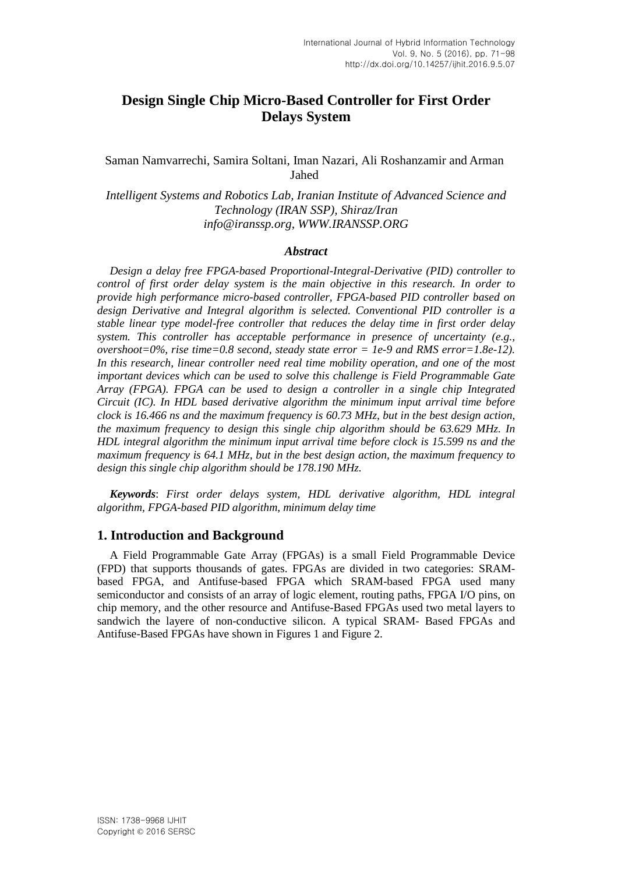# **Design Single Chip Micro-Based Controller for First Order Delays System**

### Saman Namvarrechi, Samira Soltani, Iman Nazari, Ali Roshanzamir and Arman Jahed

*Intelligent Systems and Robotics Lab, Iranian Institute of Advanced Science and Technology (IRAN SSP), Shiraz/Iran [info@iranssp.org,](mailto:info@iranssp.org) WWW.IRANSSP.ORG*

#### *Abstract*

*Design a delay free FPGA-based Proportional-Integral-Derivative (PID) controller to control of first order delay system is the main objective in this research. In order to provide high performance micro-based controller, FPGA-based PID controller based on design Derivative and Integral algorithm is selected. Conventional PID controller is a stable linear type model-free controller that reduces the delay time in first order delay system. This controller has acceptable performance in presence of uncertainty (e.g., overshoot=0%, rise time=0.8 second, steady state error = 1e-9 and RMS error=1.8e-12). In this research, linear controller need real time mobility operation, and one of the most important devices which can be used to solve this challenge is Field Programmable Gate Array (FPGA). FPGA can be used to design a controller in a single chip Integrated Circuit (IC). In HDL based derivative algorithm the minimum input arrival time before clock is 16.466 ns and the maximum frequency is 60.73 MHz, but in the best design action, the maximum frequency to design this single chip algorithm should be 63.629 MHz. In HDL integral algorithm the minimum input arrival time before clock is 15.599 ns and the maximum frequency is 64.1 MHz, but in the best design action, the maximum frequency to design this single chip algorithm should be 178.190 MHz.*

*Keywords*: *First order delays system, HDL derivative algorithm, HDL integral algorithm, FPGA-based PID algorithm, minimum delay time*

#### **1. Introduction and Background**

A Field Programmable Gate Array (FPGAs) is a small Field Programmable Device (FPD) that supports thousands of gates. FPGAs are divided in two categories: SRAMbased FPGA, and Antifuse-based FPGA which SRAM-based FPGA used many semiconductor and consists of an array of logic element, routing paths, FPGA I/O pins, on chip memory, and the other resource and Antifuse-Based FPGAs used two metal layers to sandwich the layere of non-conductive silicon. A typical SRAM- Based FPGAs and Antifuse-Based FPGAs have shown in Figures 1 and Figure 2.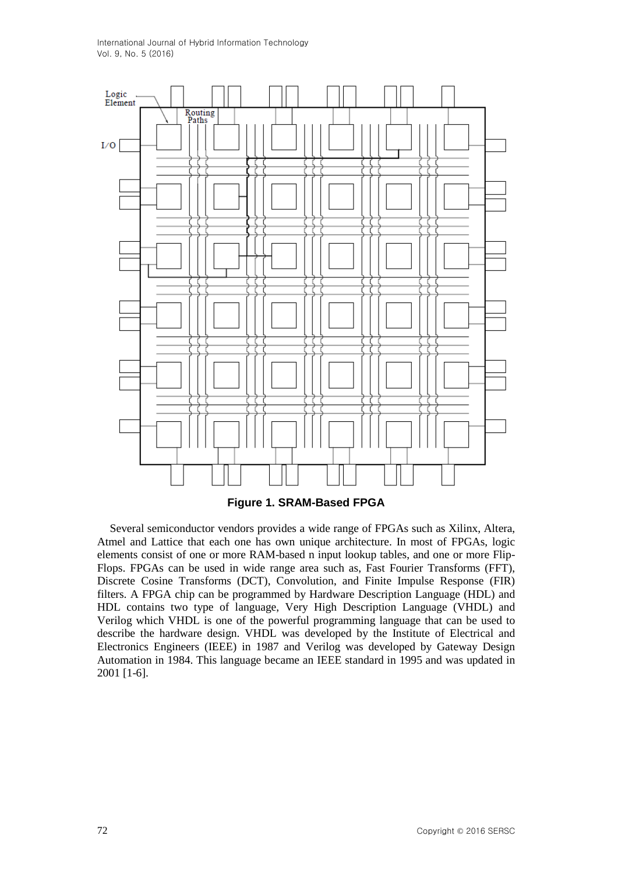

**Figure 1. SRAM-Based FPGA**

Several semiconductor vendors provides a wide range of FPGAs such as Xilinx, Altera, Atmel and Lattice that each one has own unique architecture. In most of FPGAs, logic elements consist of one or more RAM-based n input lookup tables, and one or more Flip-Flops. FPGAs can be used in wide range area such as, Fast Fourier Transforms (FFT), Discrete Cosine Transforms (DCT), Convolution, and Finite Impulse Response (FIR) filters. A FPGA chip can be programmed by Hardware Description Language (HDL) and HDL contains two type of language, Very High Description Language (VHDL) and Verilog which VHDL is one of the powerful programming language that can be used to describe the hardware design. VHDL was developed by the Institute of Electrical and Electronics Engineers (IEEE) in 1987 and Verilog was developed by Gateway Design Automation in 1984. This language became an IEEE standard in 1995 and was updated in 2001 [1-6].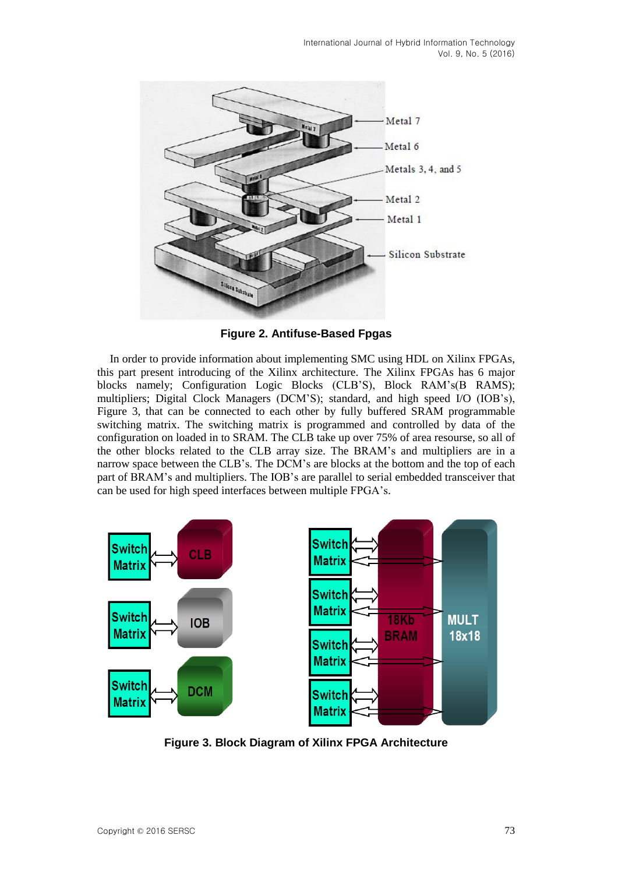

**Figure 2. Antifuse-Based Fpgas**

In order to provide information about implementing SMC using HDL on Xilinx FPGAs, this part present introducing of the Xilinx architecture. The Xilinx FPGAs has 6 major blocks namely; Configuration Logic Blocks (CLB'S), Block RAM's(B RAMS); multipliers; Digital Clock Managers (DCM'S); standard, and high speed I/O (IOB's), Figure 3, that can be connected to each other by fully buffered SRAM programmable switching matrix. The switching matrix is programmed and controlled by data of the configuration on loaded in to SRAM. The CLB take up over 75% of area resourse, so all of the other blocks related to the CLB array size. The BRAM's and multipliers are in a narrow space between the CLB's. The DCM's are blocks at the bottom and the top of each part of BRAM's and multipliers. The IOB's are parallel to serial embedded transceiver that can be used for high speed interfaces between multiple FPGA's.



**Figure 3. Block Diagram of Xilinx FPGA Architecture**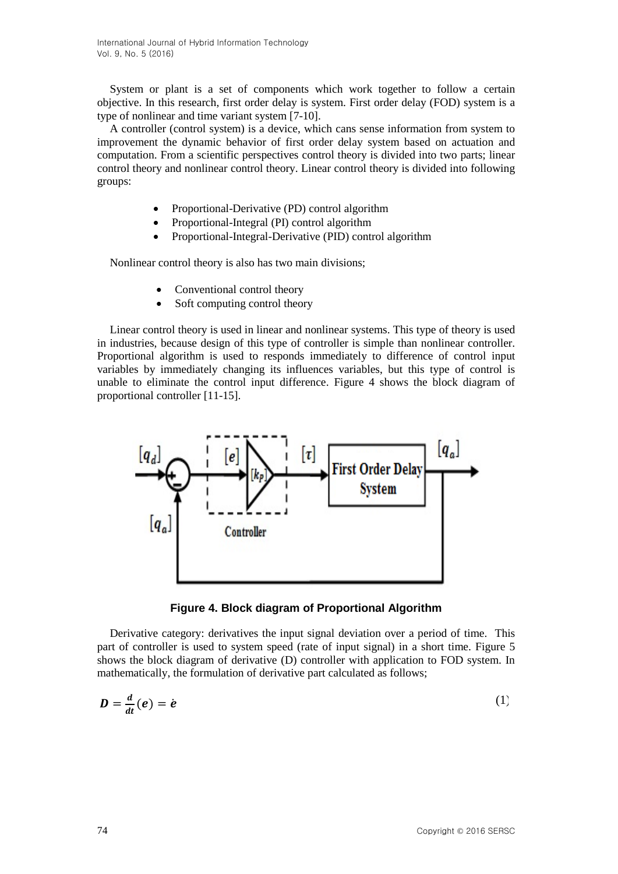System or plant is a set of components which work together to follow a certain objective. In this research, first order delay is system. First order delay (FOD) system is a type of nonlinear and time variant system [7-10].

A controller (control system) is a device, which cans sense information from system to improvement the dynamic behavior of first order delay system based on actuation and computation. From a scientific perspectives control theory is divided into two parts; linear control theory and nonlinear control theory. Linear control theory is divided into following groups:

- Proportional-Derivative (PD) control algorithm
- Proportional-Integral (PI) control algorithm
- Proportional-Integral-Derivative (PID) control algorithm

Nonlinear control theory is also has two main divisions;

- Conventional control theory
- Soft computing control theory

Linear control theory is used in linear and nonlinear systems. This type of theory is used in industries, because design of this type of controller is simple than nonlinear controller. Proportional algorithm is used to responds immediately to difference of control input variables by immediately changing its influences variables, but this type of control is unable to eliminate the control input difference. Figure 4 shows the block diagram of proportional controller [11-15].



**Figure 4. Block diagram of Proportional Algorithm**

Derivative category: derivatives the input signal deviation over a period of time. This part of controller is used to system speed (rate of input signal) in a short time. Figure 5 shows the block diagram of derivative (D) controller with application to FOD system. In mathematically, the formulation of derivative part calculated as follows;

$$
D = \frac{d}{dt}(e) = \dot{e}
$$
 (1)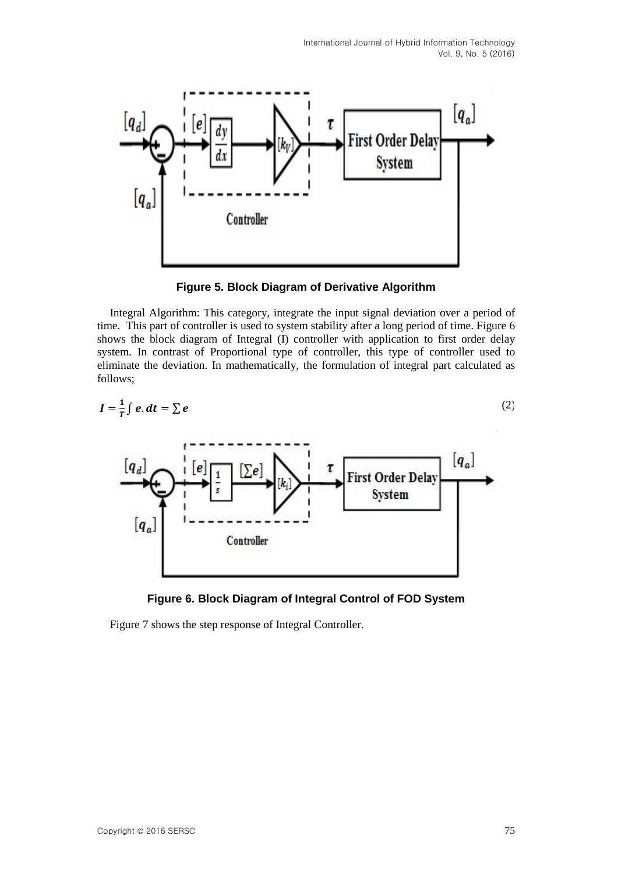

**Figure 5. Block Diagram of Derivative Algorithm**

Integral Algorithm: This category, integrate the input signal deviation over a period of time. This part of controller is used to system stability after a long period of time. Figure 6 shows the block diagram of Integral (I) controller with application to first order delay system. In contrast of Proportional type of controller, this type of controller used to eliminate the deviation. In mathematically, the formulation of integral part calculated as follows;

$$
I = \frac{1}{T} \int e \cdot dt = \sum e
$$
\n
$$
\begin{bmatrix} q_a \end{bmatrix}
$$
\n
$$
\begin{bmatrix} e \end{bmatrix}
$$
\n
$$
\begin{bmatrix} 1 \\ \vdots \end{bmatrix}
$$
\n
$$
\begin{bmatrix} 1 \\ \vdots \end{bmatrix}
$$
\n
$$
\begin{bmatrix} 1 \\ \vdots \end{bmatrix}
$$
\n
$$
\begin{bmatrix} 1 \\ \vdots \end{bmatrix}
$$
\n
$$
\begin{bmatrix} 1 \\ \vdots \end{bmatrix}
$$
\n
$$
\begin{bmatrix} 1 \\ \vdots \end{bmatrix}
$$
\n
$$
\begin{bmatrix} 1 \\ \vdots \end{bmatrix}
$$
\n
$$
\begin{bmatrix} 1 \\ \vdots \end{bmatrix}
$$
\n
$$
\begin{bmatrix} 1 \\ \vdots \end{bmatrix}
$$
\n
$$
\begin{bmatrix} 1 \\ \vdots \end{bmatrix}
$$
\n
$$
\begin{bmatrix} 1 \\ \vdots \end{bmatrix}
$$
\n
$$
\begin{bmatrix} 1 \\ \vdots \end{bmatrix}
$$
\n
$$
\begin{bmatrix} 1 \\ \vdots \end{bmatrix}
$$
\n
$$
\begin{bmatrix} 1 \\ \vdots \end{bmatrix}
$$
\n
$$
\begin{bmatrix} 1 \\ \vdots \end{bmatrix}
$$
\n
$$
\begin{bmatrix} 1 \\ \vdots \end{bmatrix}
$$
\n
$$
\begin{bmatrix} 1 \\ \vdots \end{bmatrix}
$$
\n
$$
\begin{bmatrix} 1 \\ \vdots \end{bmatrix}
$$
\n
$$
\begin{bmatrix} 1 \\ \vdots \end{bmatrix}
$$
\n
$$
\begin{bmatrix} 1 \\ \vdots \end{bmatrix}
$$
\n
$$
\begin{bmatrix} 1 \\ \vdots \end{bmatrix}
$$
\n
$$
\begin{bmatrix} 1 \\ \vdots \end{bmatrix}
$$
\n
$$
\begin{bmatrix} 1 \\ \vdots \end{bmatrix}
$$
\n
$$
\begin{bmatrix} 1 \\ \vdots \end{bmatrix}
$$
\n
$$
\begin{bmatrix} 1 \\ \vdots \end{bmatrix}
$$
\n
$$
\begin{bmatrix} 1 \\ \vdots \end{bmatrix}
$$
\n
$$
\begin{bmatrix} 1 \\ \vdots
$$



Figure 7 shows the step response of Integral Controller.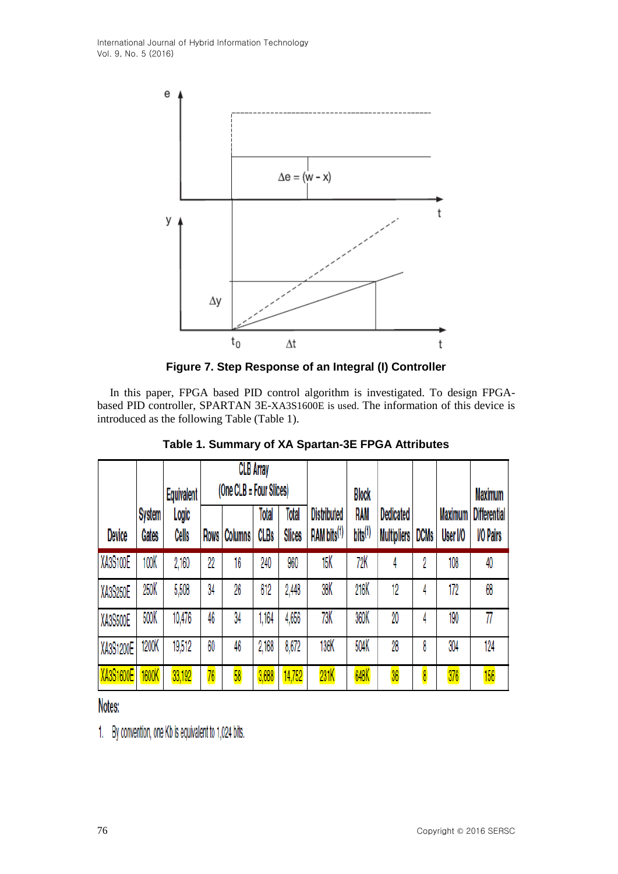

**Figure 7. Step Response of an Integral (I) Controller**

In this paper, FPGA based PID control algorithm is investigated. To design FPGAbased PID controller, SPARTAN 3E-XA3S1600E is used. The information of this device is introduced as the following Table (Table 1).

|                  |                        | Equivalent     | <b>CLB Array</b><br>(One CLB = Four Slices) |                |                      | <b>Block</b>           |                                               |                            |                                        | <b>Maximum</b> |                            |                                         |  |
|------------------|------------------------|----------------|---------------------------------------------|----------------|----------------------|------------------------|-----------------------------------------------|----------------------------|----------------------------------------|----------------|----------------------------|-----------------------------------------|--|
| Device           | <b>System</b><br>Gates | Logic<br>Cells | Rows                                        | <b>Columns</b> | Total<br><b>CLBs</b> | Total<br><b>Slices</b> | <b>Distributed</b><br>RAM bits <sup>(1)</sup> | RAM<br>bits <sup>(1)</sup> | <b>Dedicated</b><br><b>Multipliers</b> | <b>DCMs</b>    | <b>Maximum</b><br>User I/O | <b>Differential</b><br><b>I/O Pairs</b> |  |
| XA3S100E         | 100K                   | 2,160          | 22                                          | 16             | 240                  | 960                    | 15K                                           | 72K                        | 4                                      | 2              | 108                        | 40                                      |  |
| XA3S250E         | 250K                   | 5,508          | 34                                          | 26             | 612                  | 2,448                  | 38K                                           | 216K                       | 12                                     | 4              | 172                        | 68                                      |  |
| XA3S500E         | 500K                   | 10,476         | 46                                          | 34             | 1,164                | 4,656                  | 73K                                           | 360K                       | 20                                     | 4              | 190                        | 77                                      |  |
| XA3S1200E        | 1200K                  | 19,512         | 60                                          | 46             | 2,168                | 8,672                  | 136K                                          | 504K                       | 28                                     | 8              | 304                        | 124                                     |  |
| <b>XA3S1600E</b> | 1600K                  | 33,192         | 76                                          | 58             | 3,688                | 14,752                 | 231K                                          | 648K                       | 36                                     | 8              | 376                        | 156                                     |  |

**Table 1. Summary of XA Spartan-3E FPGA Attributes**

Notes:

1. By convention, one Kb is equivalent to 1,024 bits.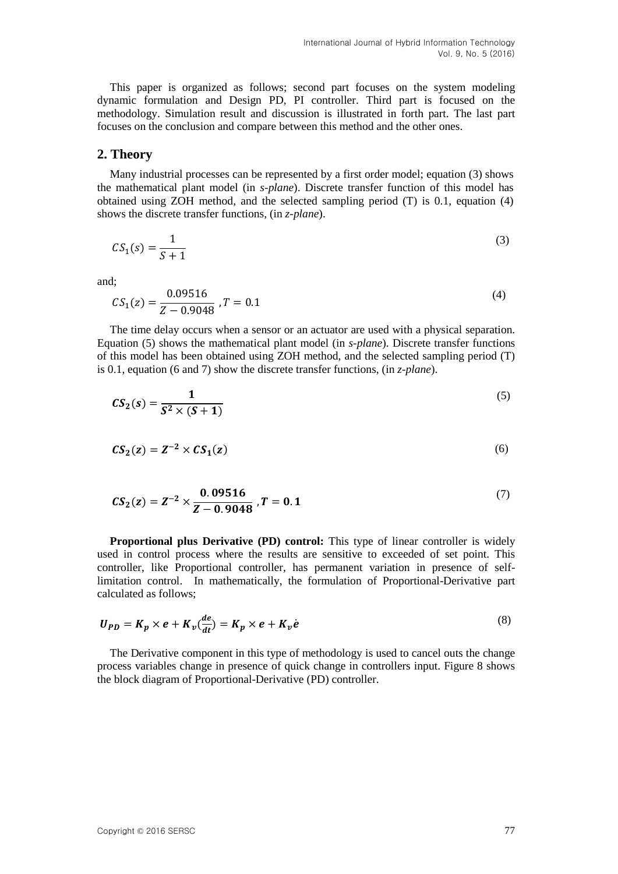This paper is organized as follows; second part focuses on the system modeling dynamic formulation and Design PD, PI controller. Third part is focused on the methodology. Simulation result and discussion is illustrated in forth part. The last part focuses on the conclusion and compare between this method and the other ones.

#### **2. Theory**

Many industrial processes can be represented by a first order model; equation (3) shows the mathematical plant model (in *s-plane*). Discrete transfer function of this model has obtained using ZOH method, and the selected sampling period (T) is 0.1, equation (4) shows the discrete transfer functions, (in *z-plane*).

$$
CS_1(s) = \frac{1}{S+1}
$$
\n<sup>(3)</sup>

and;

$$
CS_1(z) = \frac{0.09516}{Z - 0.9048}, T = 0.1
$$
\n(4)

The time delay occurs when a sensor or an actuator are used with a physical separation. Equation (5) shows the mathematical plant model (in *s-plane*). Discrete transfer functions of this model has been obtained using ZOH method, and the selected sampling period (T) is 0.1, equation (6 and 7) show the discrete transfer functions, (in *z-plane*).

$$
CS_2(s) = \frac{1}{S^2 \times (S+1)}
$$
\n<sup>(5)</sup>

$$
CS_2(z) = Z^{-2} \times CS_1(z) \tag{6}
$$

$$
CS_2(z) = Z^{-2} \times \frac{0.09516}{Z - 0.9048}, T = 0.1
$$
 (7)

**Proportional plus Derivative (PD) control:** This type of linear controller is widely used in control process where the results are sensitive to exceeded of set point. This controller, like Proportional controller, has permanent variation in presence of selflimitation control. In mathematically, the formulation of Proportional-Derivative part calculated as follows;

$$
U_{PD} = K_p \times e + K_v \left(\frac{de}{dt}\right) = K_p \times e + K_v \dot{e}
$$
\n<sup>(8)</sup>

The Derivative component in this type of methodology is used to cancel outs the change process variables change in presence of quick change in controllers input. Figure 8 shows the block diagram of Proportional-Derivative (PD) controller.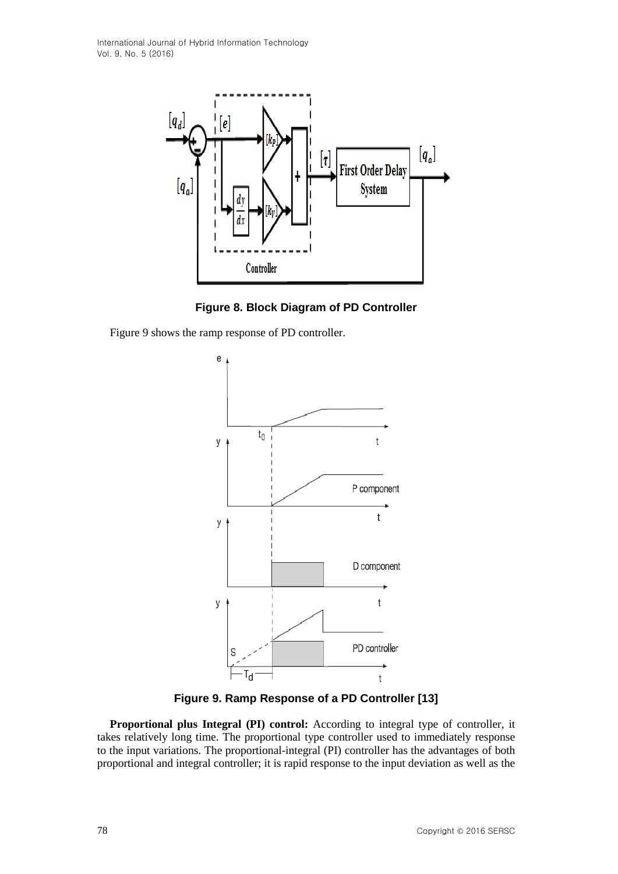

**Figure 8. Block Diagram of PD Controller**

Figure 9 shows the ramp response of PD controller.



**Figure 9. Ramp Response of a PD Controller [13]**

**Proportional plus Integral (PI) control:** According to integral type of controller, it takes relatively long time. The proportional type controller used to immediately response to the input variations. The proportional-integral (PI) controller has the advantages of both proportional and integral controller; it is rapid response to the input deviation as well as the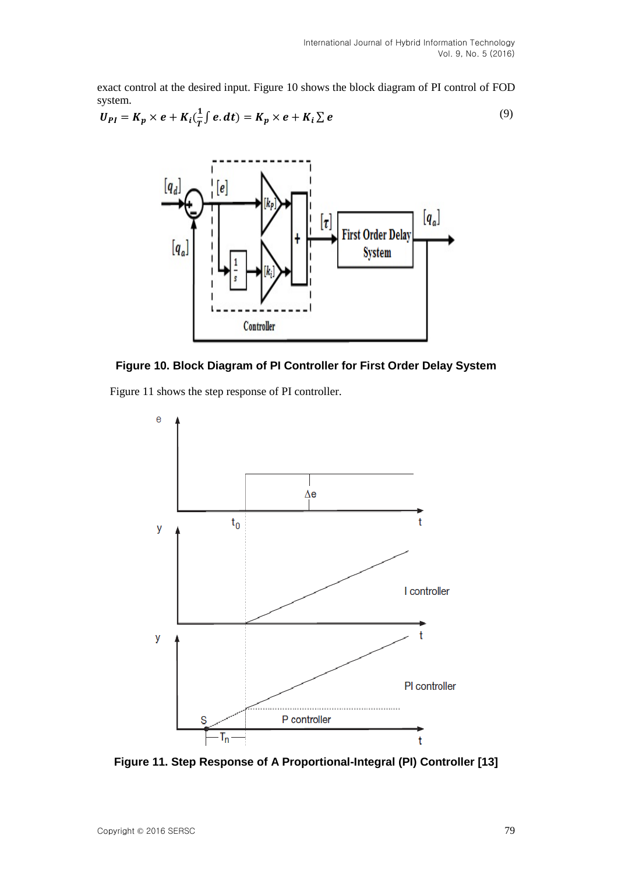exact control at the desired input. Figure 10 shows the block diagram of PI control of FOD system.

$$
U_{PI} = K_p \times e + K_i(\frac{1}{T} \int e \cdot dt) = K_p \times e + K_i \sum e
$$
 (9)





Figure 11 shows the step response of PI controller.



**Figure 11. Step Response of A Proportional-Integral (PI) Controller [13]**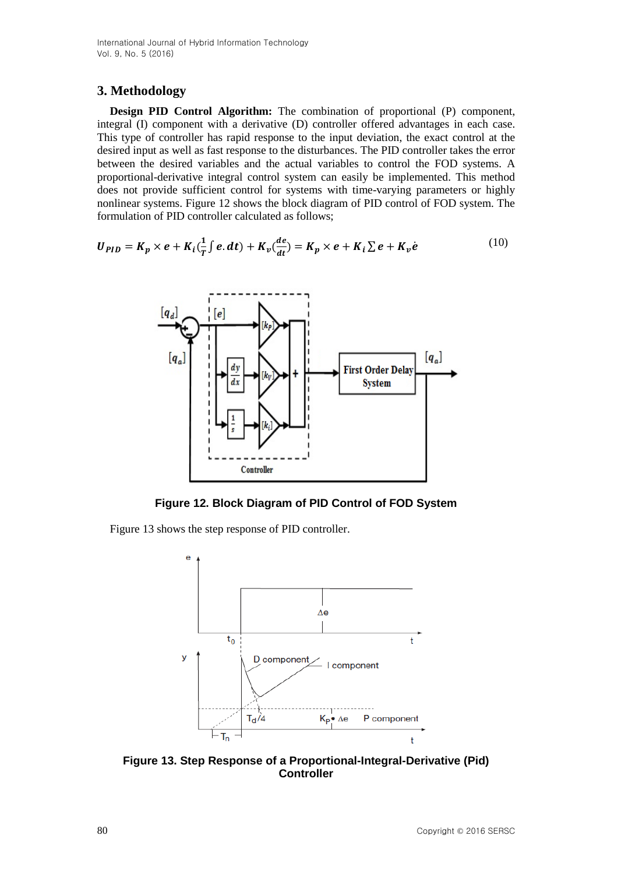# **3. Methodology**

**Design PID Control Algorithm:** The combination of proportional (P) component, integral (I) component with a derivative (D) controller offered advantages in each case. This type of controller has rapid response to the input deviation, the exact control at the desired input as well as fast response to the disturbances. The PID controller takes the error between the desired variables and the actual variables to control the FOD systems. A proportional-derivative integral control system can easily be implemented. This method does not provide sufficient control for systems with time-varying parameters or highly nonlinear systems. Figure 12 shows the block diagram of PID control of FOD system. The formulation of PID controller calculated as follows;

$$
U_{PID} = K_p \times e + K_i(\frac{1}{T} \int e \cdot dt) + K_v(\frac{de}{dt}) = K_p \times e + K_i \sum e + K_v \dot{e}
$$
 (10)



**Figure 12. Block Diagram of PID Control of FOD System**

Figure 13 shows the step response of PID controller.



**Figure 13. Step Response of a Proportional-Integral-Derivative (Pid) Controller**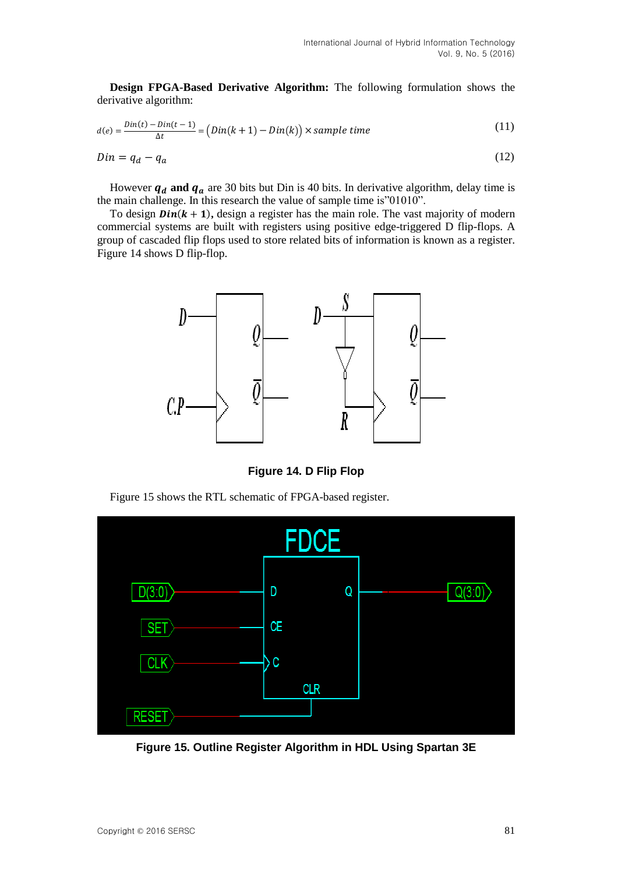**Design FPGA-Based Derivative Algorithm:** The following formulation shows the derivative algorithm:

$$
d(e) = \frac{Din(t) - Din(t-1)}{\Delta t} = (Din(k+1) - Din(k)) \times sample \ time
$$
\n(11)

$$
Din = q_d - q_a \tag{12}
$$

However  $q_d$  and  $q_a$  are 30 bits but Din is 40 bits. In derivative algorithm, delay time is the main challenge. In this research the value of sample time is"01010".

To design  $\text{D}in(k + 1)$ , design a register has the main role. The vast majority of modern commercial systems are built with registers using positive edge-triggered D flip-flops. A group of cascaded flip flops used to store related bits of information is known as a register. Figure 14 shows D flip-flop.



**Figure 14. D Flip Flop**

Figure 15 shows the RTL schematic of FPGA-based register.



**Figure 15. Outline Register Algorithm in HDL Using Spartan 3E**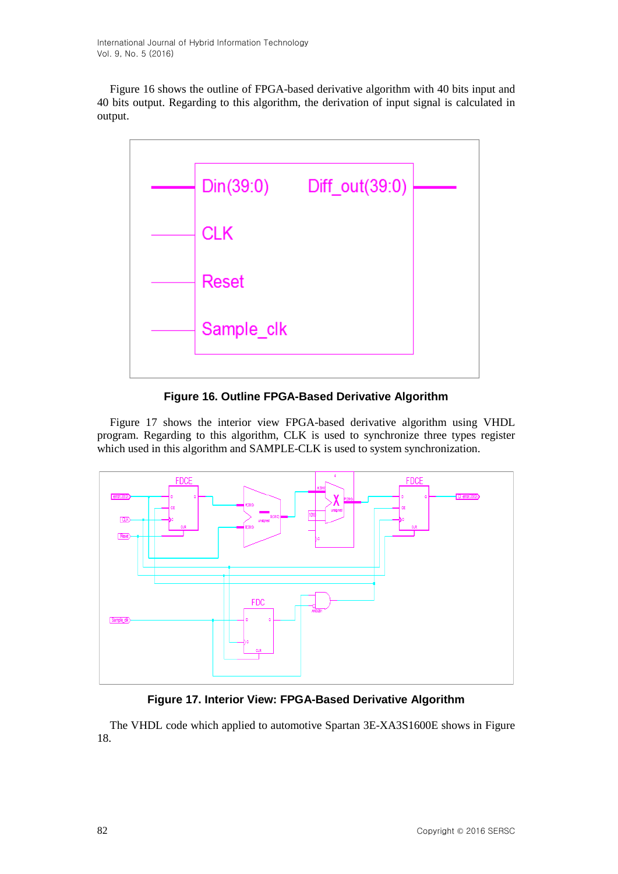Figure 16 shows the outline of FPGA-based derivative algorithm with 40 bits input and 40 bits output. Regarding to this algorithm, the derivation of input signal is calculated in output.



**Figure 16. Outline FPGA-Based Derivative Algorithm**

Figure 17 shows the interior view FPGA-based derivative algorithm using VHDL program. Regarding to this algorithm, CLK is used to synchronize three types register which used in this algorithm and SAMPLE-CLK is used to system synchronization.



### **Figure 17. Interior View: FPGA-Based Derivative Algorithm**

The VHDL code which applied to automotive Spartan 3E-XA3S1600E shows in Figure 18.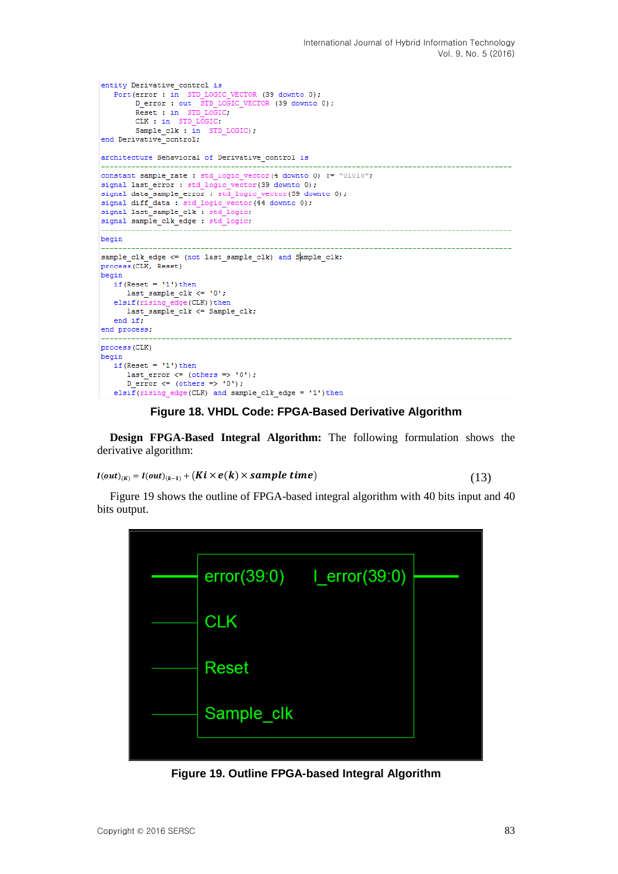```
entity Derivative control is
   Port (error : in STD LOGIC VECTOR (39 downto 0);
        D_error : in SiD_LOGIC_VECTOR (39 downto 0);<br>D_error : out STD_LOGIC_VECTOR (39 downto 0);
        Reset : in STD_LOGIC;<br>CLK : in STD_LOGIC;
        Sample_clk : in STD\_LOGIC);end Derivative_control;
architecture Behavioral of Derivative control is
constant sample rate : std logic vector (4 downto 0) := "01010";
signal last_error : std_logic_vector(39 downto 0);
signal data_sample_error : std_logic_vector(39 downto 0);
signal diff_data : std_logic_vector(44 downto 0);
signal last_sample_clk : std_logic;
signal sample_clk_edge : std_logic;
begin
sample clk edge \leq (not last sample clk) and Sample clk;
process (CLK, Reset)
begin
   if(Reset = '1') then{\tt last\_sample\_clk} \ \mathrel{<=}\ {} '0';elsif(rising edge(CLK)) then
     last_sample_clk <= Sample_clk;
   end if;
end process;
process (CLK)
begin
   .<br>if(Reset = '1')then
      last_error \leftarrow (others => '0');
      D error \langle = \text{(others =} > 0) \rangle;
```
#### **Figure 18. VHDL Code: FPGA-Based Derivative Algorithm**

**Design FPGA-Based Integral Algorithm:** The following formulation shows the derivative algorithm:

$$
I(out)_{(K)} = I(out)_{(k-1)} + (Ki \times e(k) \times sample \ time)
$$
\n(13)

Figure 19 shows the outline of FPGA-based integral algorithm with 40 bits input and 40 bits output.



**Figure 19. Outline FPGA-based Integral Algorithm**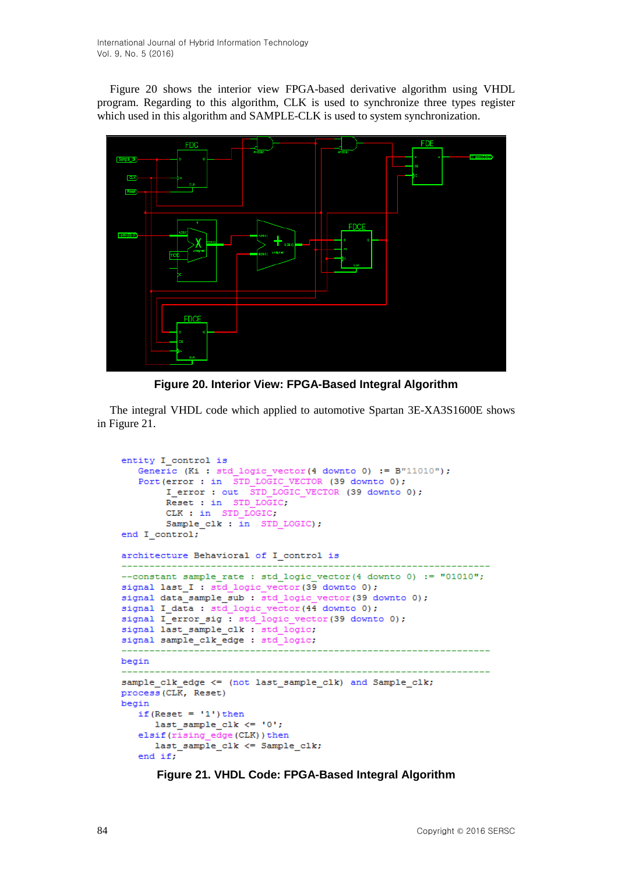Figure 20 shows the interior view FPGA-based derivative algorithm using VHDL program. Regarding to this algorithm, CLK is used to synchronize three types register which used in this algorithm and SAMPLE-CLK is used to system synchronization.



**Figure 20. Interior View: FPGA-Based Integral Algorithm**

The integral VHDL code which applied to automotive Spartan 3E-XA3S1600E shows in Figure 21.

```
entity I control is
  Generic (Ki : std logic vector (4 downto 0) := B''11010');
   Port (error : in STD LOGIC VECTOR (39 downto 0);
       I error : out STD LOGIC VECTOR (39 downto 0);
       Reset : in STD_LOGIC.
       CLK : in STD LOGIC;
       Sample_clk : \bar{in} STD_LOGIC);
end I control;
architecture Behavioral of I_control is
 --constant sample rate : std logic vector (4 downto 0) := "01010";
signal last I : std logic vector (39 downto 0);
signal data sample sub : std logic vector (39 downto 0);
signal I_data : std_logic_vector(44 downto 0);
signal I_error_sig : std_logic_vector(39 downto 0);
signal last sample clk : std logic;
signal sample clk edge : std logic;
begin
               sample clk edge <= (not last sample clk) and Sample clk;
process (CLK, Reset)
begin
  if (Reset = '1') then
     last\_sample\_clk \leq 10';
  elsif(rising edge(CLK)) then
     last sample clk <= Sample clk;
   end if;
```
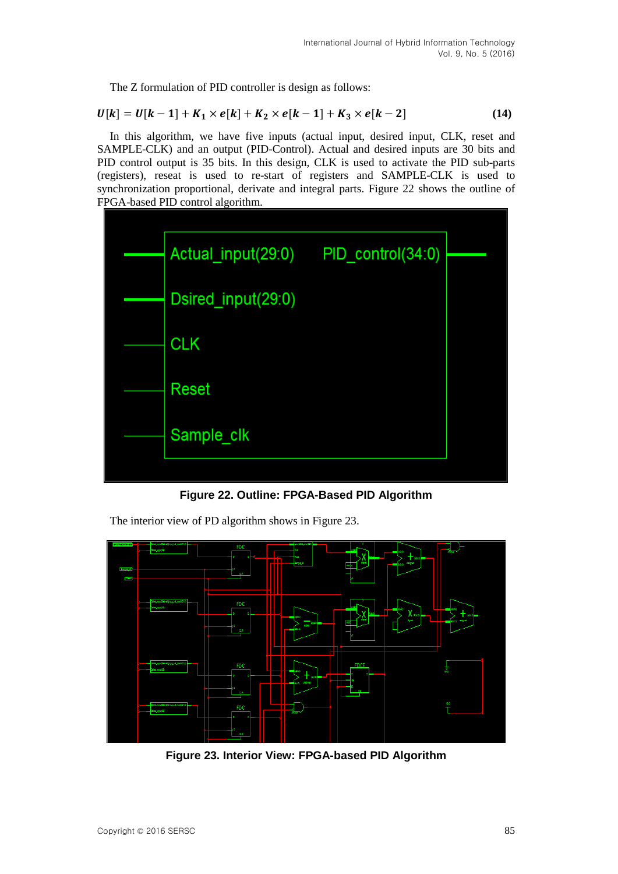The Z formulation of PID controller is design as follows:

$$
U[k] = U[k-1] + K_1 \times e[k] + K_2 \times e[k-1] + K_3 \times e[k-2]
$$
 (14)

In this algorithm, we have five inputs (actual input, desired input, CLK, reset and SAMPLE-CLK) and an output (PID-Control). Actual and desired inputs are 30 bits and PID control output is 35 bits. In this design, CLK is used to activate the PID sub-parts (registers), reseat is used to re-start of registers and SAMPLE-CLK is used to synchronization proportional, derivate and integral parts. Figure 22 shows the outline of FPGA-based PID control algorithm.



**Figure 22. Outline: FPGA-Based PID Algorithm**

The interior view of PD algorithm shows in Figure 23.

**Figure 23. Interior View: FPGA-based PID Algorithm**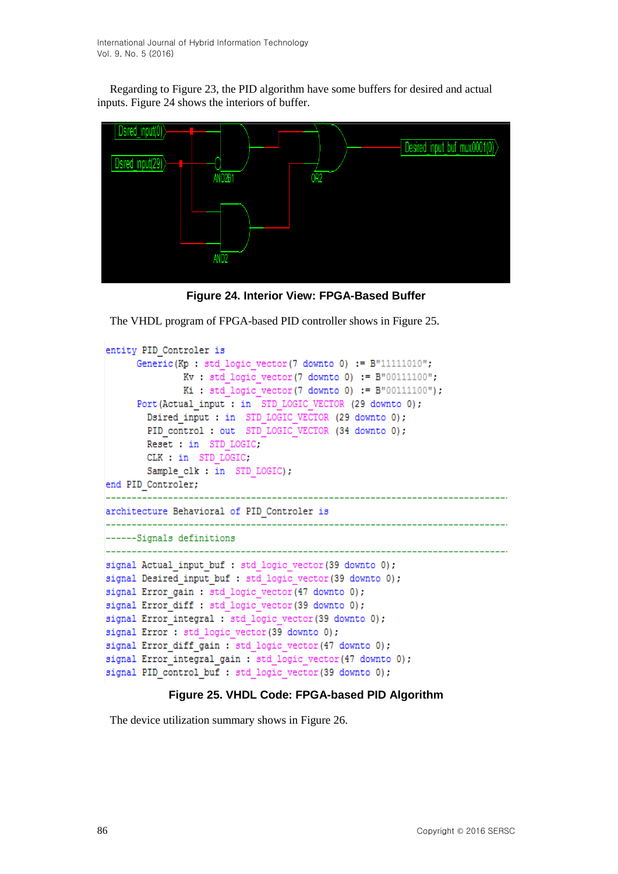Regarding to Figure 23, the PID algorithm have some buffers for desired and actual inputs. Figure 24 shows the interiors of buffer.



**Figure 24. Interior View: FPGA-Based Buffer**

The VHDL program of FPGA-based PID controller shows in Figure 25.

```
entity PID Controler is
     Generic (Kp : std logic vector (7 downto 0) := B''11111010'';
             Kv: std logic vector (7 downto 0) := B"00111100";
             Ki : std logic vector (7 downto 0) := B"00111100" ;
     Port (Actual input : in STD LOGIC VECTOR (29 downto 0);
       Dsired input : in STD LOGIC VECTOR (29 downto 0);
       PID control: out STD LOGIC VECTOR (34 downto 0);
       Reset : in STD LOGIC;
       CLK : in STD LOGIC,
       Sample clk : in STD LOGIC);
end PID Controler;
______________
                   architecture Behavioral of PID Controler is
------Signals definitions
signal Actual input buf : std logic vector (39 downto 0);
signal Desired input buf : std logic vector (39 downto 0);
signal Error gain : std logic vector (47 downto 0);
signal Error diff : std logic vector (39 downto 0);
signal Error integral : std logic vector (39 downto 0);
signal Error : std logic vector (39 downto 0);
signal Error diff gain : std logic vector (47 downto 0);
signal Error integral gain : std logic vector (47 downto 0);
signal PID control buf : std logic vector (39 downto 0);
```
#### **Figure 25. VHDL Code: FPGA-based PID Algorithm**

The device utilization summary shows in Figure 26.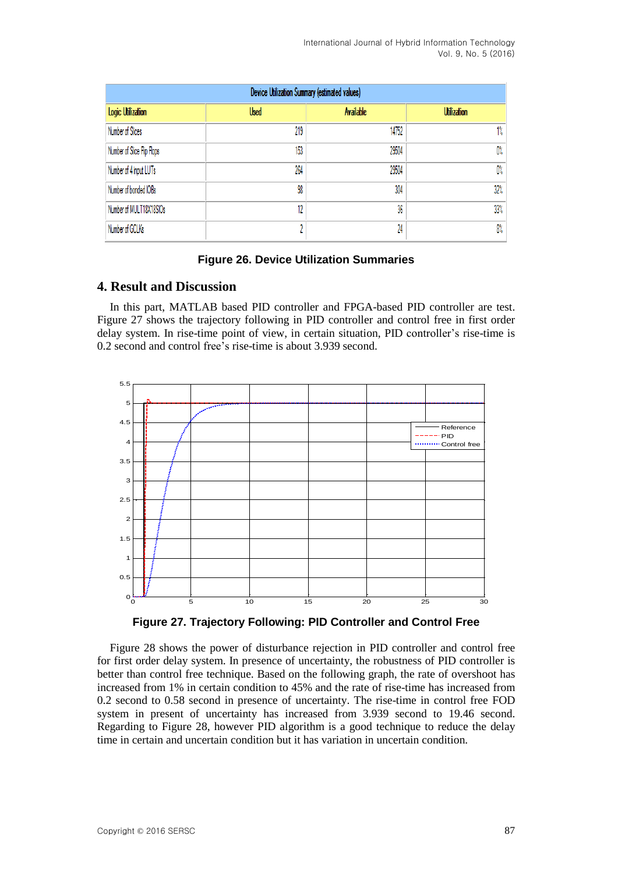| Device Utilization Summary (estimated values) |             |                  |                    |  |  |  |  |  |  |
|-----------------------------------------------|-------------|------------------|--------------------|--|--|--|--|--|--|
| Logic Utilization                             | <b>Used</b> | <b>Available</b> | <b>Utilization</b> |  |  |  |  |  |  |
| Number of Slices                              | 219         | 14752            | 1%                 |  |  |  |  |  |  |
| Number of Slice Flip Flops                    | 153         | 29504            | 0%                 |  |  |  |  |  |  |
| Number of 4 input LUTs                        | 264         | 29504            | 0%                 |  |  |  |  |  |  |
| Number of bonded IOBs                         | 98          | 304              | 32%                |  |  |  |  |  |  |
| Number of MULT18X18SIOs                       | 12          | 36               | 33%                |  |  |  |  |  |  |
| Number of GCLKs                               | ٨           | 24               | 8%                 |  |  |  |  |  |  |

#### **Figure 26. Device Utilization Summaries**

### **4. Result and Discussion**

In this part, MATLAB based PID controller and FPGA-based PID controller are test. Figure 27 shows the trajectory following in PID controller and control free in first order delay system. In rise-time point of view, in certain situation, PID controller's rise-time is 0.2 second and control free's rise-time is about 3.939 second.



**Figure 27. Trajectory Following: PID Controller and Control Free**

Figure 28 shows the power of disturbance rejection in PID controller and control free for first order delay system. In presence of uncertainty, the robustness of PID controller is better than control free technique. Based on the following graph, the rate of overshoot has increased from 1% in certain condition to 45% and the rate of rise-time has increased from 0.2 second to 0.58 second in presence of uncertainty. The rise-time in control free FOD system in present of uncertainty has increased from 3.939 second to 19.46 second. Regarding to Figure 28, however PID algorithm is a good technique to reduce the delay time in certain and uncertain condition but it has variation in uncertain condition.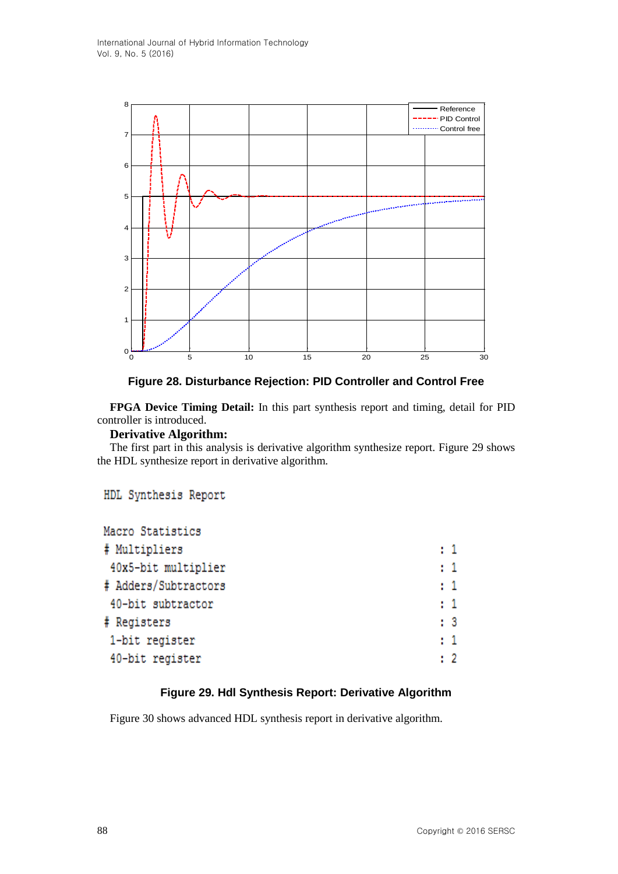

### **Figure 28. Disturbance Rejection: PID Controller and Control Free**

**FPGA Device Timing Detail:** In this part synthesis report and timing, detail for PID controller is introduced.

## **Derivative Algorithm:**

The first part in this analysis is derivative algorithm synthesize report. Figure 29 shows the HDL synthesize report in derivative algorithm.

### HDL Synthesis Report

| Macro Statistics     |                |
|----------------------|----------------|
| # Multipliers        | $\mathbf{1}$   |
| 40x5-bit multiplier  | $\pm$ 1        |
| # Adders/Subtractors | $\pm 1$        |
| 40-bit subtractor    | $\pm 1$        |
| # Registers          | : 3            |
| 1-bit register       | : 1            |
| 40-bit register      | $\mathbf{1}$ 2 |
|                      |                |

### **Figure 29. Hdl Synthesis Report: Derivative Algorithm**

Figure 30 shows advanced HDL synthesis report in derivative algorithm.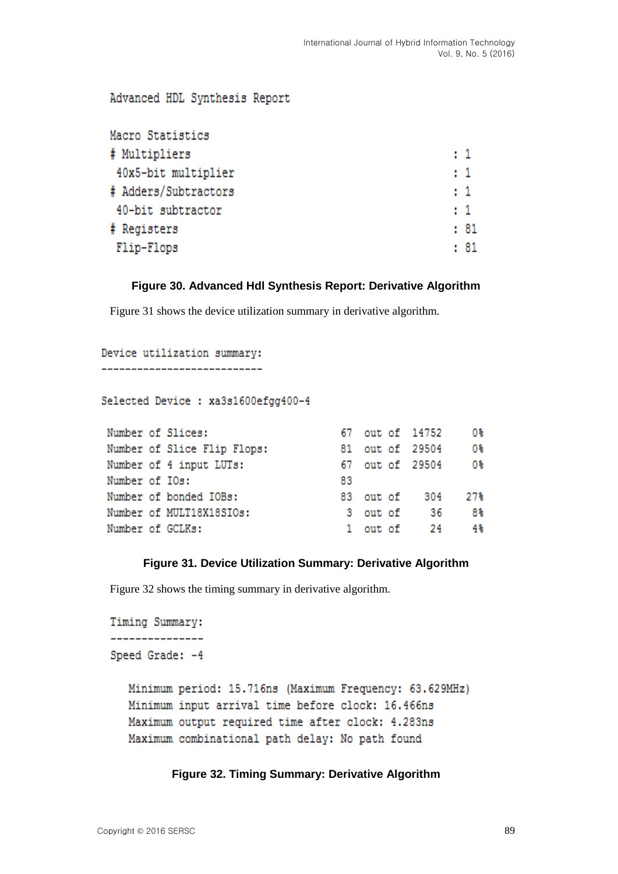#### Advanced HDL Synthesis Report Macro Statistics  $\pm 1$ # Multipliers 40x5-bit multiplier  $\pm$  1 # Adders/Subtractors  $\pm$  1 40-bit subtractor  $\pm 1$  $: 81$ # Registers  $1.81$ Flip-Flops

### **Figure 30. Advanced Hdl Synthesis Report: Derivative Algorithm**

Figure 31 shows the device utilization summary in derivative algorithm.

```
Device utilization summary:
```
----------------------------

Selected Device : xa3s1600efgg400-4

|                  | Number of Slices:           | 67  |  | out of 14752    | 0%।  |
|------------------|-----------------------------|-----|--|-----------------|------|
|                  | Number of Slice Flip Flops: |     |  | 81 out of 29504 | 0%   |
|                  | Number of 4 input LUTs:     | 67. |  | out of 29504    | - 0% |
| Number of IOs:   |                             | 83  |  |                 |      |
|                  | Number of bonded IOBs:      |     |  | 83 out of 304   | 27%  |
|                  | Number of MULT18X18SIOs:    |     |  | 3 out of 36     | 8%   |
| Number of GCLKs: |                             |     |  | 1 out of 24     | 4%   |

#### **Figure 31. Device Utilization Summary: Derivative Algorithm**

Figure 32 shows the timing summary in derivative algorithm.

```
Timing Summary:
---------------
Speed Grade: -4
  Minimum period: 15.716ns (Maximum Frequency: 63.629MHz)
  Minimum input arrival time before clock: 16.466ns
  Maximum output required time after clock: 4.283ns
  Maximum combinational path delay: No path found
```
#### **Figure 32. Timing Summary: Derivative Algorithm**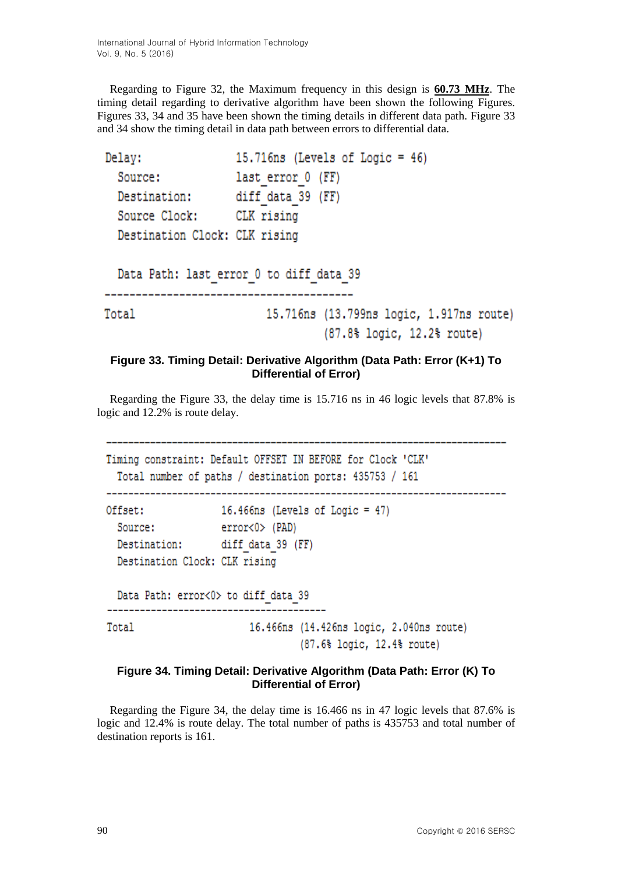Regarding to Figure 32, the Maximum frequency in this design is **60.73 MHz**. The timing detail regarding to derivative algorithm have been shown the following Figures. Figures 33, 34 and 35 have been shown the timing details in different data path. Figure 33 and 34 show the timing detail in data path between errors to differential data.

```
15.716ns (Levels of Logic = 46)
Delay:
  Source:
                    last error 0 (FF)
                   diff data 39 (FF)
  Destination:
  Source Clock: CLK rising
  Destination Clock: CLK rising
  Data Path: last_error_0 to diff_data_39
                         15.716ns (13.799ns logic, 1.917ns route)
Total
                                   (87.8% logic, 12.2% route)
```
### **Figure 33. Timing Detail: Derivative Algorithm (Data Path: Error (K+1) To Differential of Error)**

Regarding the Figure 33, the delay time is 15.716 ns in 46 logic levels that 87.8% is logic and 12.2% is route delay.

```
Timing constraint: Default OFFSET IN BEFORE for Clock 'CLK'
 Total number of paths / destination ports: 435753 / 161
Offset:
                16.466ns (Levels of Logic = 47)
 Source:
               error<0> (PAD)
 Destination: diff_data_39 (FF)
 Destination Clock: CLK rising
 Data Path: error<0> to diff data 39
_________________________
                    -------------
                     16.466ns (14.426ns logic, 2.040ns route)
Total
                            (87.6% logic, 12.4% route)
```
#### **Figure 34. Timing Detail: Derivative Algorithm (Data Path: Error (K) To Differential of Error)**

Regarding the Figure 34, the delay time is 16.466 ns in 47 logic levels that 87.6% is logic and 12.4% is route delay. The total number of paths is 435753 and total number of destination reports is 161.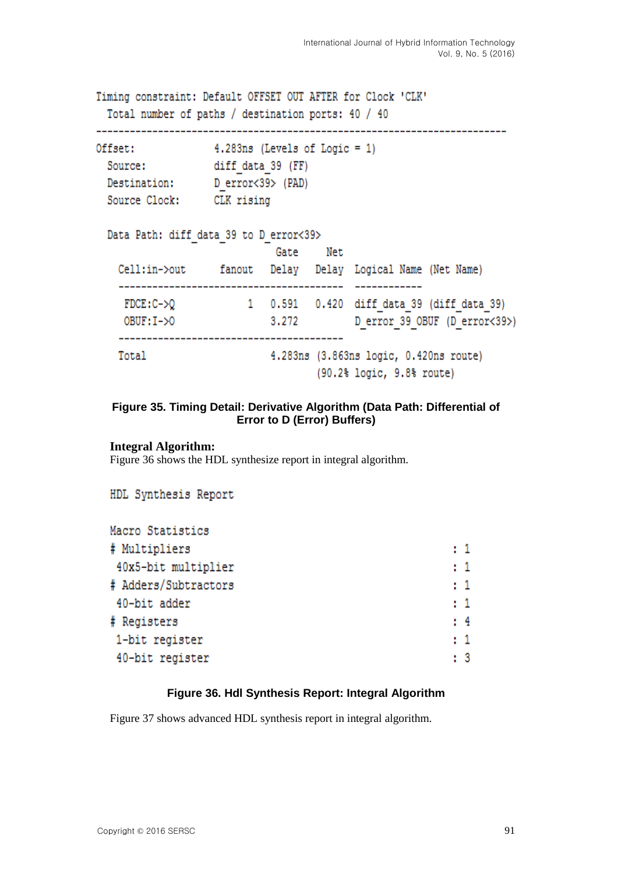Timing constraint: Default OFFSET OUT AFTER for Clock 'CLK' Total number of paths / destination ports: 40 / 40

```
4.283ns (Levels of Logic = 1)
Offset:
 Source:
                 diff data 39 (FF)
                 D error<39> (PAD)
 Destination:
```

```
Source Clock: CLK rising
```

| Data Path: diff data 39 to D error<39> |        |       |     |                                                                                                   |
|----------------------------------------|--------|-------|-----|---------------------------------------------------------------------------------------------------|
|                                        |        | Gate  | Net |                                                                                                   |
| Cell:in->out                           | fanout |       |     | Delay Delay Logical Name (Net Name)                                                               |
| $FDCE: C-\geq Q$                       |        |       |     | 1 0.591 0.420 diff data 39 (diff data 39)                                                         |
| $O$ BUF: $I - >0$                      |        | 3,272 |     | D error 39 OBUF (D error<39>)                                                                     |
| Total                                  |        |       |     | 4.283ns (3.863ns logic, 0.420ns route)<br>$(90.2$ <sup>\$</sup> logic, $9.8$ <sup>\$</sup> route) |

### **Figure 35. Timing Detail: Derivative Algorithm (Data Path: Differential of Error to D (Error) Buffers)**

**Integral Algorithm:**

Figure 36 shows the HDL synthesize report in integral algorithm.

```
HDL Synthesis Report
```

| # Multipliers<br>$\mathbf{1}$        |  |
|--------------------------------------|--|
|                                      |  |
| : 1<br>40x5-bit multiplier           |  |
| # Adders/Subtractors<br>$\mathbf{1}$ |  |
| $\mathbf{1}$<br>40-bit adder         |  |
| # Registers<br>: 4                   |  |
| : 1<br>1-bit register                |  |
| 40-bit register<br>: 3               |  |

### **Figure 36. Hdl Synthesis Report: Integral Algorithm**

Figure 37 shows advanced HDL synthesis report in integral algorithm.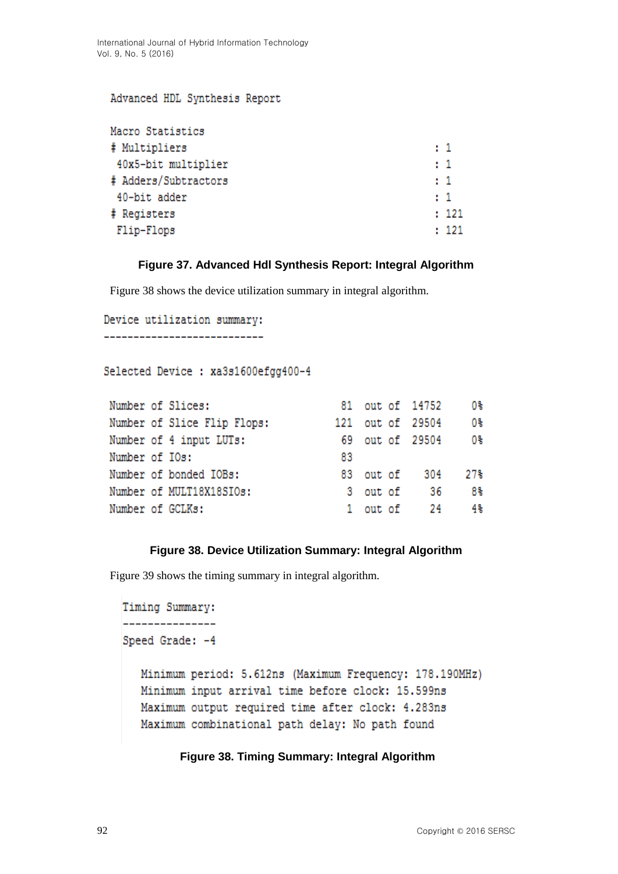#### Advanced HDL Synthesis Report

| Macro Statistics     |         |       |
|----------------------|---------|-------|
| # Multipliers        | $\pm$ 1 |       |
| 40x5-bit multiplier  | $\pm$ 1 |       |
| # Adders/Subtractors | $\pm 1$ |       |
| 40-bit adder         | $\pm$ 1 |       |
| # Registers          |         | : 121 |
| Flip-Flops           |         | : 121 |

## **Figure 37. Advanced Hdl Synthesis Report: Integral Algorithm**

Figure 38 shows the device utilization summary in integral algorithm.

```
Device utilization summary:
---------------------------
```

```
Selected Device : xa3s1600efqq400-4
```

|  |                                                                                                                                                                         |  |      | 0%⊪                                                                                                |
|--|-------------------------------------------------------------------------------------------------------------------------------------------------------------------------|--|------|----------------------------------------------------------------------------------------------------|
|  |                                                                                                                                                                         |  |      | 0%                                                                                                 |
|  |                                                                                                                                                                         |  |      | 0%                                                                                                 |
|  | 83                                                                                                                                                                      |  |      |                                                                                                    |
|  |                                                                                                                                                                         |  |      | 27%                                                                                                |
|  |                                                                                                                                                                         |  | - 36 | 8%                                                                                                 |
|  |                                                                                                                                                                         |  |      | 4%                                                                                                 |
|  | Number of Slices:<br>Number of Slice Flip Flops:<br>Number of 4 input LUTs:<br>Number of IOs:<br>Number of bonded IOBs:<br>Number of MULT18X18SIOs:<br>Number of GCLKs: |  |      | 81 out of 14752<br>121 out of 29504<br>69 out of 29504<br>83 out of 304<br>3 out of<br>1 out of 24 |

### **Figure 38. Device Utilization Summary: Integral Algorithm**

Figure 39 shows the timing summary in integral algorithm.

```
Timing Summary:
_______________
Speed Grade: -4
   Minimum period: 5.612ns (Maximum Frequency: 178.190MHz)
   Minimum input arrival time before clock: 15.599ns
   Maximum output required time after clock: 4.283ns
   Maximum combinational path delay: No path found
```
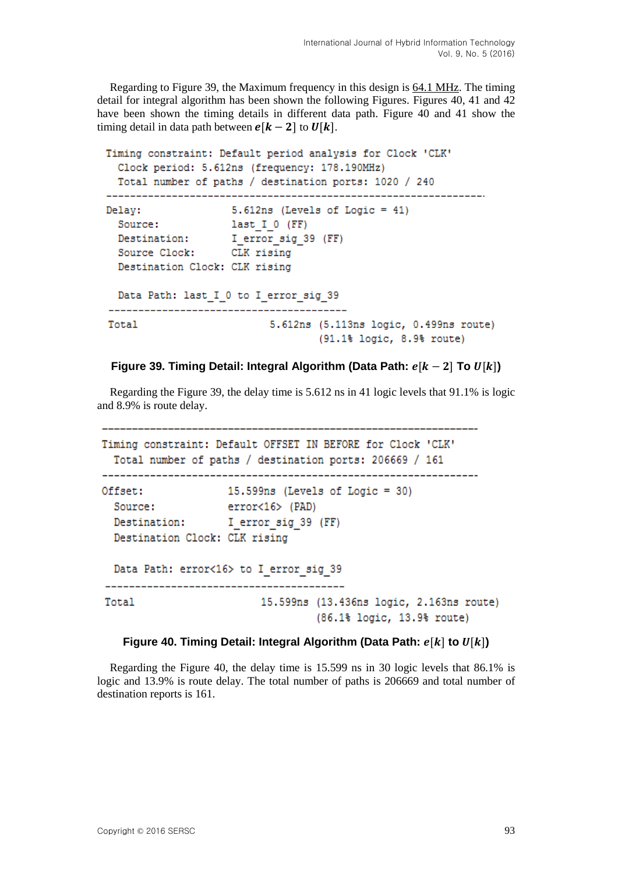Regarding to Figure 39, the Maximum frequency in this design is 64.1 MHz. The timing detail for integral algorithm has been shown the following Figures. Figures 40, 41 and 42 have been shown the timing details in different data path. Figure 40 and 41 show the timing detail in data path between  $\mathbf{e}[\mathbf{k} - 2]$  to  $\mathbf{U}[\mathbf{k}]$ .

```
Timing constraint: Default period analysis for Clock 'CLK'
 Clock period: 5.612ns (frequency: 178.190MHz)
 Total number of paths / destination ports: 1020 / 240
Delay:
                 5.612ns (Levels of Logic = 41)
 Source: last_I_0 (FF)<br>Destination: I_error_sig_39 (FF)<br>Source Clock: CLK rising
 Destination Clock: CLK rising
 Data Path: last I 0 to I error sig 39
5.612ns (5.113ns logic, 0.499ns route)
Total
                               (91.1% logic, 8.9% route)
```
### **Figure** 39. Timing Detail: Integral Algorithm (Data Path:  $e[k-2]$  To  $U[k]$ )

Regarding the Figure 39, the delay time is 5.612 ns in 41 logic levels that 91.1% is logic and 8.9% is route delay.

```
Timing constraint: Default OFFSET IN BEFORE for Clock 'CLK'
 Total number of paths / destination ports: 206669 / 161
Offset:
                15.599ns (Levels of Logic = 30)
 Source:
                error<16> (PAD)
 Destination: I error sig 39 (FF)
 Destination Clock: CLK rising
 Data Path: error<16> to I_error_sig_39
-------------------------
Total
                      15.599ns (13.436ns logic, 2.163ns route)
                             (86.1% logic, 13.9% route)
```
#### **Figure** 40. Timing Detail: Integral Algorithm (Data Path:  $e[k]$  to  $U[k]$ )

Regarding the Figure 40, the delay time is 15.599 ns in 30 logic levels that 86.1% is logic and 13.9% is route delay. The total number of paths is 206669 and total number of destination reports is 161.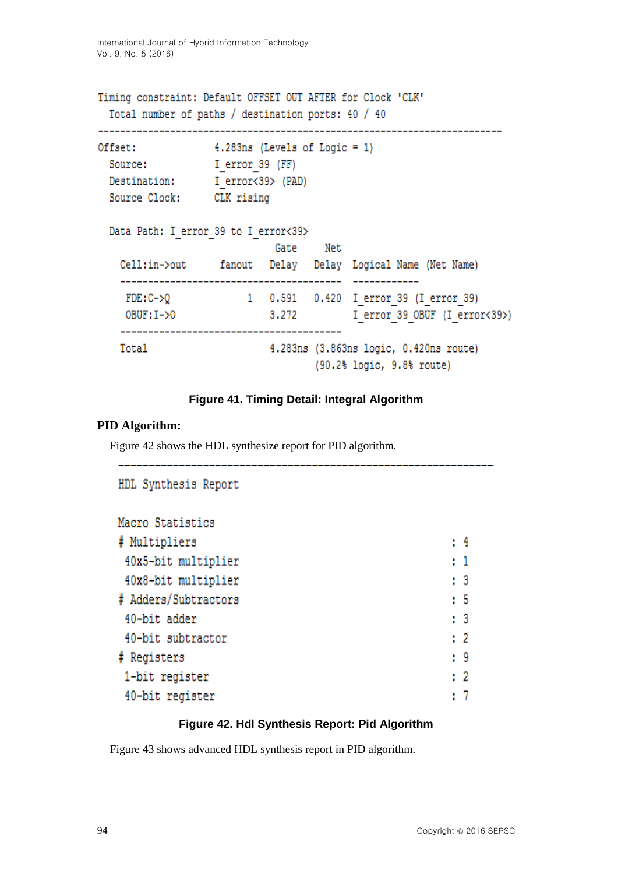```
Timing constraint: Default OFFSET OUT AFTER for Clock 'CLK'
 Total number of paths / destination ports: 40 / 40
Offset:
             4.283ns (Levels of Logic = 1)
 Source:
            I error 39 (FF)
 Destination: I error<39> (PAD)
 Source Clock: CLK rising
 Data Path: I error 39 to I error<39>
                    Gate
                          Net
  Cell:in->out fanout Delay Delay Logical Name (Net Name)
  1 0.591 0.420 I error 39 (I error 39)
   FDE: C->OOBUF: I->0 3.272 I error 39 OBUF (I error<39>)
  4.283ns (3.863ns logic, 0.420ns route)
  Total
                          (90.2% logic, 9.8% route)
```
### **Figure 41. Timing Detail: Integral Algorithm**

## **PID Algorithm:**

Figure 42 shows the HDL synthesize report for PID algorithm.

```
HDL Synthesis Report
Macro Statistics
# Multipliers
                                                              \pm 4
40x5-bit multiplier
                                                              \pm 140x8-bit multiplier
                                                              \pm 3
# Adders/Subtractors
                                                              \pm 540-bit adder
                                                              \pm 3
                                                              \pm 2
 40-bit subtractor
                                                              \cdot 9
# Registers
 1-bit register
                                                              \pm 2\cdot 7
 40-bit register
```
### **Figure 42. Hdl Synthesis Report: Pid Algorithm**

Figure 43 shows advanced HDL synthesis report in PID algorithm.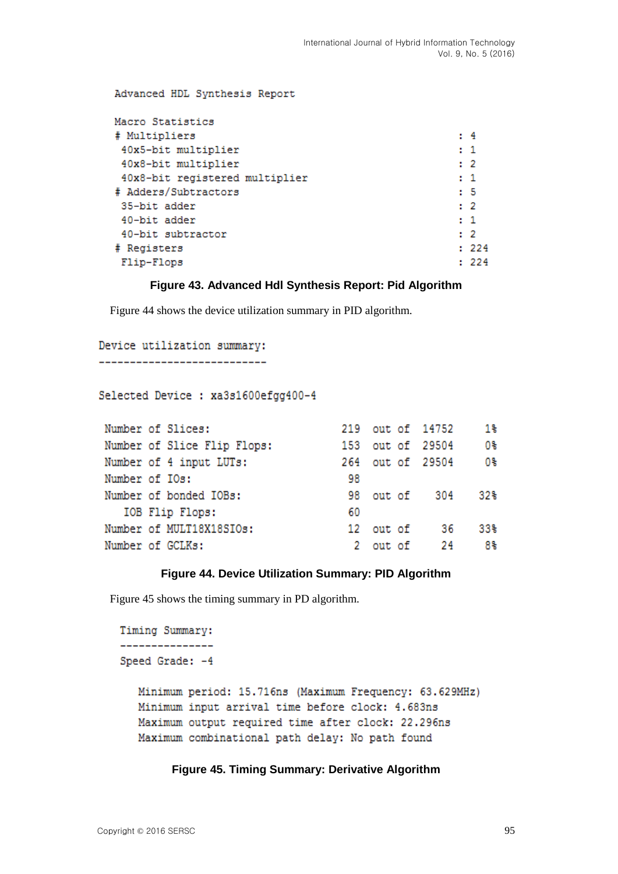| Advanced HDL Synthesis Report  |                |
|--------------------------------|----------------|
| Macro Statistics               |                |
| # Multipliers                  | : 4            |
| 40x5-bit multiplier            | $\mathbf{r}$ 1 |
| 40x8-bit multiplier            | $\cdot$ 2      |
| 40x8-bit registered multiplier | $\mathbf{1}$   |
| # Adders/Subtractors           | $5-5$          |
| 35-bit adder                   | $\cdot$ 2      |
| 40-bit adder                   | $\mathbf{1}$   |
| 40-bit subtractor              | $\cdot$ 2      |
| # Registers                    | : 224          |
| Flip-Flops                     | : 224          |
|                                |                |

#### **Figure 43. Advanced Hdl Synthesis Report: Pid Algorithm**

Figure 44 shows the device utilization summary in PID algorithm.

```
Device utilization summary:
----------------------------
```
Selected Device : xa3s1600efgg400-4

| Number of Slices:           |    |           | 219 out of 14752 | 18  |
|-----------------------------|----|-----------|------------------|-----|
| Number of Slice Flip Flops: |    |           | 153 out of 29504 | 0%  |
| Number of 4 input LUTs:     |    |           | 264 out of 29504 | 0%  |
| Number of IOs:              | 98 |           |                  |     |
| Number of bonded IOBs:      |    |           | 98 out of 304    | 32% |
| IOB Flip Flops:             | 60 |           |                  |     |
| Number of MULT18X18SIOs:    |    | 12 out of | - 36             | 33% |
| Number of GCLKs:            |    |           | 2 out of 24      | 8%  |

### **Figure 44. Device Utilization Summary: PID Algorithm**

Figure 45 shows the timing summary in PD algorithm.

```
Timing Summary:
_______________
Speed Grade: -4
  Minimum period: 15.716ns (Maximum Frequency: 63.629MHz)
  Minimum input arrival time before clock: 4.683ns
  Maximum output required time after clock: 22.296ns
  Maximum combinational path delay: No path found
```
#### **Figure 45. Timing Summary: Derivative Algorithm**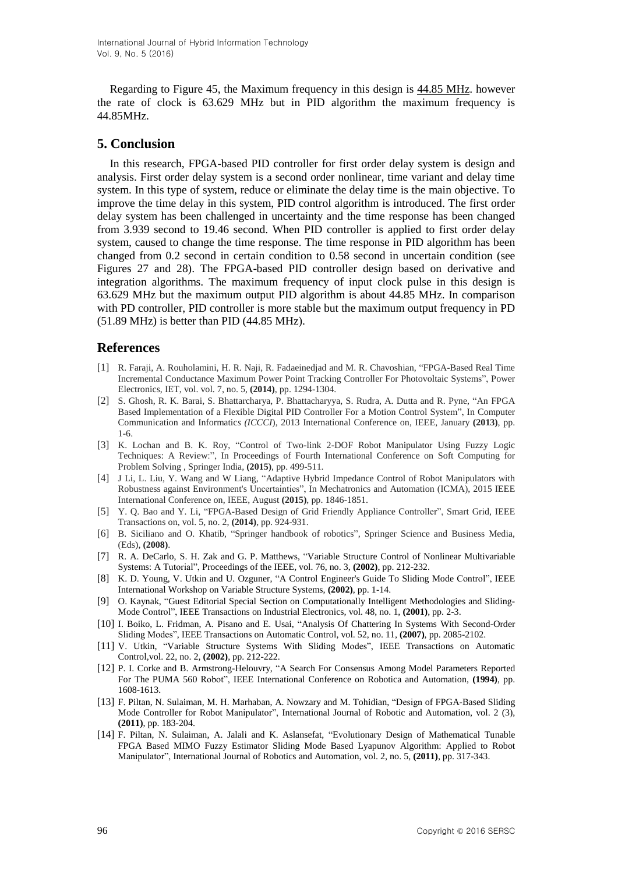Regarding to Figure 45, the Maximum frequency in this design is 44.85 MHz. however the rate of clock is 63.629 MHz but in PID algorithm the maximum frequency is 44.85MHz.

### **5. Conclusion**

In this research, FPGA-based PID controller for first order delay system is design and analysis. First order delay system is a second order nonlinear, time variant and delay time system. In this type of system, reduce or eliminate the delay time is the main objective. To improve the time delay in this system, PID control algorithm is introduced. The first order delay system has been challenged in uncertainty and the time response has been changed from 3.939 second to 19.46 second. When PID controller is applied to first order delay system, caused to change the time response. The time response in PID algorithm has been changed from 0.2 second in certain condition to 0.58 second in uncertain condition (see Figures 27 and 28). The FPGA-based PID controller design based on derivative and integration algorithms. The maximum frequency of input clock pulse in this design is 63.629 MHz but the maximum output PID algorithm is about 44.85 MHz. In comparison with PD controller, PID controller is more stable but the maximum output frequency in PD (51.89 MHz) is better than PID (44.85 MHz).

### **References**

- [1] R. Faraji, A. Rouholamini, H. R. Naji, R. Fadaeinedjad and M. R. Chavoshian, "FPGA-Based Real Time Incremental Conductance Maximum Power Point Tracking Controller For Photovoltaic Systems", Power Electronics, IET, vol. vol. 7, no. 5, **(2014)**, pp. 1294-1304.
- [2] S. Ghosh, R. K. Barai, S. Bhattarcharya, P. Bhattacharyya, S. Rudra, A. Dutta and R. Pyne, "An FPGA Based Implementation of a Flexible Digital PID Controller For a Motion Control System", In Computer Communication and Informatic*s (ICCCI*), 2013 International Conference on, IEEE, January **(2013)**, pp. 1-6.
- [3] K. Lochan and B. K. Roy, "Control of Two-link 2-DOF Robot Manipulator Using Fuzzy Logic Techniques: A Review:", In Proceedings of Fourth International Conference on Soft Computing for Problem Solving , Springer India, **(2015)**, pp. 499-511.
- [4] J Li, L. Liu, Y. Wang and W Liang, "Adaptive Hybrid Impedance Control of Robot Manipulators with Robustness against Environment's Uncertainties", In Mechatronics and Automation (ICMA), 2015 IEEE International Conference on, IEEE, August **(2015)**, pp. 1846-1851.
- [5] Y. Q. Bao and Y. Li, "FPGA-Based Design of Grid Friendly Appliance Controller", Smart Grid, IEEE Transactions on, vol. 5, no. 2, **(2014)**, pp. 924-931.
- [6] B. Siciliano and O. Khatib, "Springer handbook of robotics", Springer Science and Business Media, (Eds), **(2008)**.
- [7] R. A. DeCarlo, S. H. Zak and G. P. Matthews, "Variable Structure Control of Nonlinear Multivariable Systems: A Tutorial", Proceedings of the IEEE*,* vol. 76, no. 3, **(2002)**, pp. 212-232.
- [8] K. D. Young, V. Utkin and U. Ozguner, "A Control Engineer's Guide To Sliding Mode Control", IEEE International Workshop on Variable Structure Systems, **(2002)**, pp. 1-14.
- [9] O. Kaynak, "Guest Editorial Special Section on Computationally Intelligent Methodologies and Sliding-Mode Control", IEEE Transactions on Industrial Electronics*,* vol. 48, no. 1, **(2001)**, pp. 2-3.
- [10] I. Boiko, L. Fridman, A. Pisano and E. Usai, "Analysis Of Chattering In Systems With Second-Order Sliding Modes", IEEE Transactions on Automatic Control*,* vol. 52, no. 11, **(2007)**, pp. 2085-2102.
- [11] V. Utkin, "Variable Structure Systems With Sliding Modes", IEEE Transactions on Automatic Control*,*vol. 22, no. 2, **(2002)**, pp. 212-222.
- [12] P. I. Corke and B. Armstrong-Helouvry, "A Search For Consensus Among Model Parameters Reported For The PUMA 560 Robot", IEEE International Conference on Robotica and Automation, **(1994)**, pp. 1608-1613.
- [13] F. Piltan, N. Sulaiman, M. H. Marhaban, A. Nowzary and M. Tohidian, "Design of FPGA-Based Sliding Mode Controller for Robot Manipulator", International Journal of Robotic and Automation, vol. 2 (3), **(2011)**, pp. 183-204.
- [14] F. Piltan, N. Sulaiman, A. Jalali and K. Aslansefat, "Evolutionary Design of Mathematical Tunable FPGA Based MIMO Fuzzy Estimator Sliding Mode Based Lyapunov Algorithm: Applied to Robot Manipulator", International Journal of Robotics and Automation, vol. 2, no. 5, **(2011)**, pp. 317-343.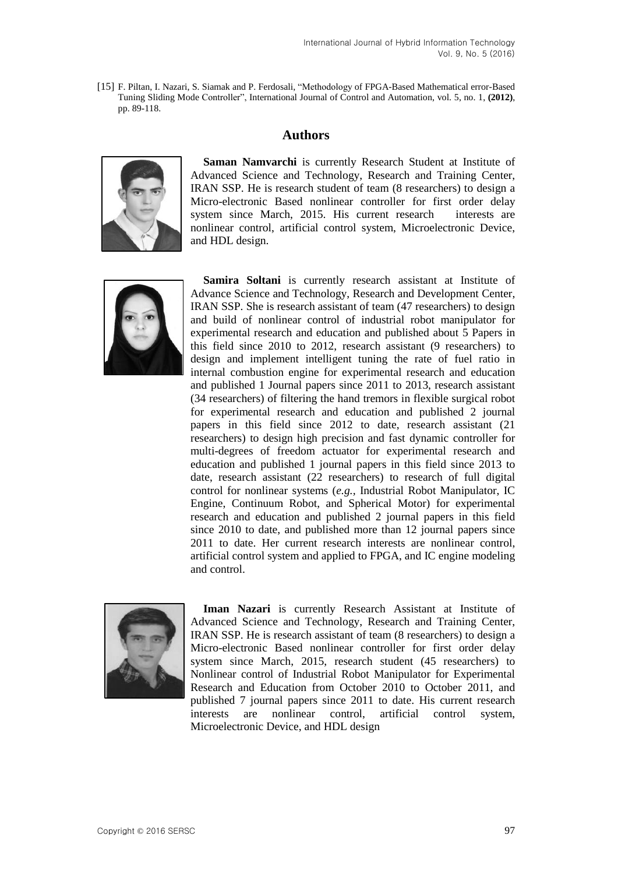[15] F. Piltan, I. Nazari, S. Siamak and P. Ferdosali, "Methodology of FPGA-Based Mathematical error-Based Tuning Sliding Mode Controller", International Journal of Control and Automation, vol. 5, no. 1, **(2012)**, pp. 89-118.

# **Authors**



**Saman Namvarchi** is currently Research Student at Institute of Advanced Science and Technology, Research and Training Center, IRAN SSP. He is research student of team (8 researchers) to design a Micro-electronic Based nonlinear controller for first order delay system since March, 2015. His current research interests are nonlinear control, artificial control system, Microelectronic Device, and HDL design.



**Samira Soltani** is currently research assistant at Institute of Advance Science and Technology, Research and Development Center, IRAN SSP. She is research assistant of team (47 researchers) to design and build of nonlinear control of industrial robot manipulator for experimental research and education and published about 5 Papers in this field since 2010 to 2012, research assistant (9 researchers) to design and implement intelligent tuning the rate of fuel ratio in internal combustion engine for experimental research and education and published 1 Journal papers since 2011 to 2013, research assistant (34 researchers) of filtering the hand tremors in flexible surgical robot for experimental research and education and published 2 journal papers in this field since 2012 to date, research assistant (21 researchers) to design high precision and fast dynamic controller for multi-degrees of freedom actuator for experimental research and education and published 1 journal papers in this field since 2013 to date, research assistant (22 researchers) to research of full digital control for nonlinear systems (*e.g.,* Industrial Robot Manipulator, IC Engine, Continuum Robot, and Spherical Motor) for experimental research and education and published 2 journal papers in this field since 2010 to date, and published more than 12 journal papers since 2011 to date. Her current research interests are nonlinear control, artificial control system and applied to FPGA, and IC engine modeling and control.



**Iman Nazari** is currently Research Assistant at Institute of Advanced Science and Technology, Research and Training Center, IRAN SSP. He is research assistant of team (8 researchers) to design a Micro-electronic Based nonlinear controller for first order delay system since March, 2015, research student (45 researchers) to Nonlinear control of Industrial Robot Manipulator for Experimental Research and Education from October 2010 to October 2011, and published 7 journal papers since 2011 to date. His current research interests are nonlinear control, artificial control system, Microelectronic Device, and HDL design